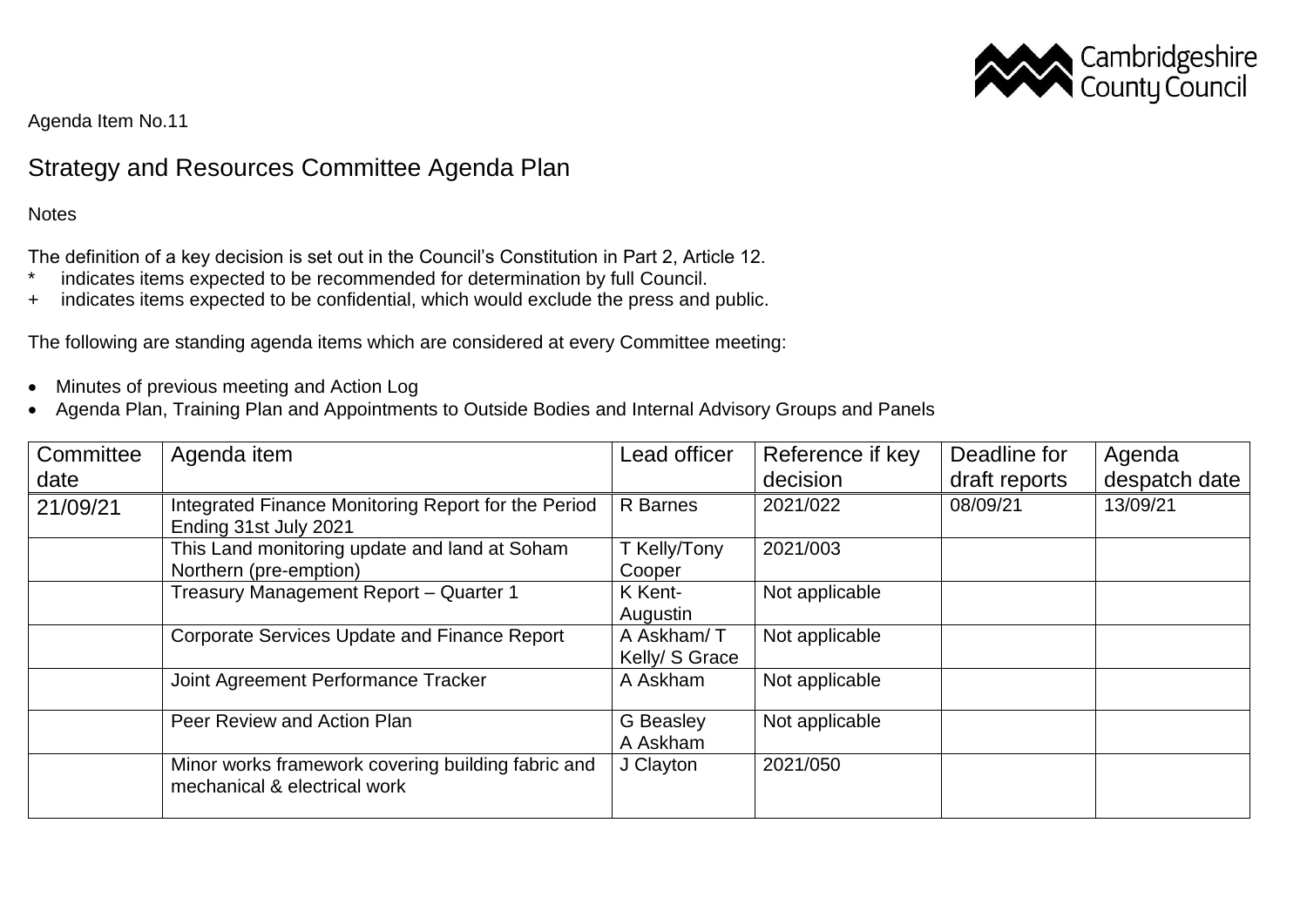

Agenda Item No.11

## Strategy and Resources Committee Agenda Plan

**Notes** 

The definition of a key decision is set out in the Council's Constitution in Part 2, Article 12.

- \* indicates items expected to be recommended for determination by full Council.
- + indicates items expected to be confidential, which would exclude the press and public.

The following are standing agenda items which are considered at every Committee meeting:

- Minutes of previous meeting and Action Log
- Agenda Plan, Training Plan and Appointments to Outside Bodies and Internal Advisory Groups and Panels

| Committee<br>date | Agenda item                                                                        | Lead officer                 | Reference if key<br>decision | Deadline for<br>draft reports | Agenda<br>despatch date |
|-------------------|------------------------------------------------------------------------------------|------------------------------|------------------------------|-------------------------------|-------------------------|
| 21/09/21          | Integrated Finance Monitoring Report for the Period<br>Ending 31st July 2021       | <b>R</b> Barnes              | 2021/022                     | 08/09/21                      | 13/09/21                |
|                   | This Land monitoring update and land at Soham<br>Northern (pre-emption)            | T Kelly/Tony<br>Cooper       | 2021/003                     |                               |                         |
|                   | Treasury Management Report - Quarter 1                                             | K Kent-<br>Augustin          | Not applicable               |                               |                         |
|                   | <b>Corporate Services Update and Finance Report</b>                                | A Askham/T<br>Kelly/ S Grace | Not applicable               |                               |                         |
|                   | Joint Agreement Performance Tracker                                                | A Askham                     | Not applicable               |                               |                         |
|                   | Peer Review and Action Plan                                                        | <b>G</b> Beasley<br>A Askham | Not applicable               |                               |                         |
|                   | Minor works framework covering building fabric and<br>mechanical & electrical work | J Clayton                    | 2021/050                     |                               |                         |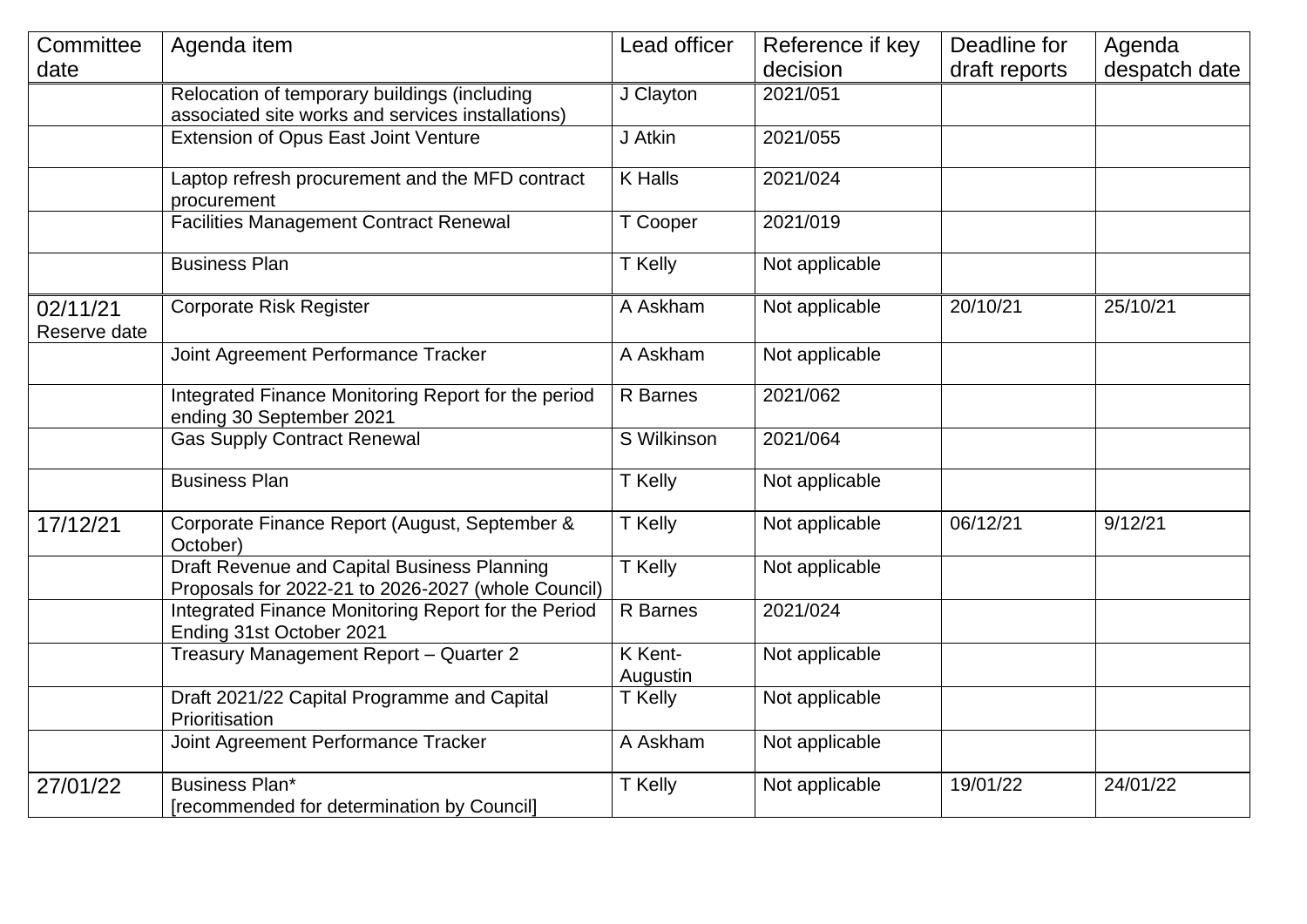| Committee                | Agenda item                                                                                       | Lead officer        | Reference if key | Deadline for  | Agenda        |
|--------------------------|---------------------------------------------------------------------------------------------------|---------------------|------------------|---------------|---------------|
| date                     |                                                                                                   |                     | decision         | draft reports | despatch date |
|                          | Relocation of temporary buildings (including<br>associated site works and services installations) | J Clayton           | 2021/051         |               |               |
|                          | Extension of Opus East Joint Venture                                                              | J Atkin             | 2021/055         |               |               |
|                          | Laptop refresh procurement and the MFD contract<br>procurement                                    | <b>K</b> Halls      | 2021/024         |               |               |
|                          | <b>Facilities Management Contract Renewal</b>                                                     | T Cooper            | 2021/019         |               |               |
|                          | <b>Business Plan</b>                                                                              | T Kelly             | Not applicable   |               |               |
| 02/11/21<br>Reserve date | <b>Corporate Risk Register</b>                                                                    | A Askham            | Not applicable   | 20/10/21      | 25/10/21      |
|                          | Joint Agreement Performance Tracker                                                               | A Askham            | Not applicable   |               |               |
|                          | Integrated Finance Monitoring Report for the period<br>ending 30 September 2021                   | R Barnes            | 2021/062         |               |               |
|                          | <b>Gas Supply Contract Renewal</b>                                                                | S Wilkinson         | 2021/064         |               |               |
|                          | <b>Business Plan</b>                                                                              | T Kelly             | Not applicable   |               |               |
| 17/12/21                 | Corporate Finance Report (August, September &<br>October)                                         | T Kelly             | Not applicable   | 06/12/21      | 9/12/21       |
|                          | Draft Revenue and Capital Business Planning<br>Proposals for 2022-21 to 2026-2027 (whole Council) | T Kelly             | Not applicable   |               |               |
|                          | Integrated Finance Monitoring Report for the Period<br>Ending 31st October 2021                   | <b>R</b> Barnes     | 2021/024         |               |               |
|                          | Treasury Management Report - Quarter 2                                                            | K Kent-<br>Augustin | Not applicable   |               |               |
|                          | Draft 2021/22 Capital Programme and Capital<br>Prioritisation                                     | T Kelly             | Not applicable   |               |               |
|                          | Joint Agreement Performance Tracker                                                               | A Askham            | Not applicable   |               |               |
| 27/01/22                 | Business Plan*<br>[recommended for determination by Council]                                      | T Kelly             | Not applicable   | 19/01/22      | 24/01/22      |